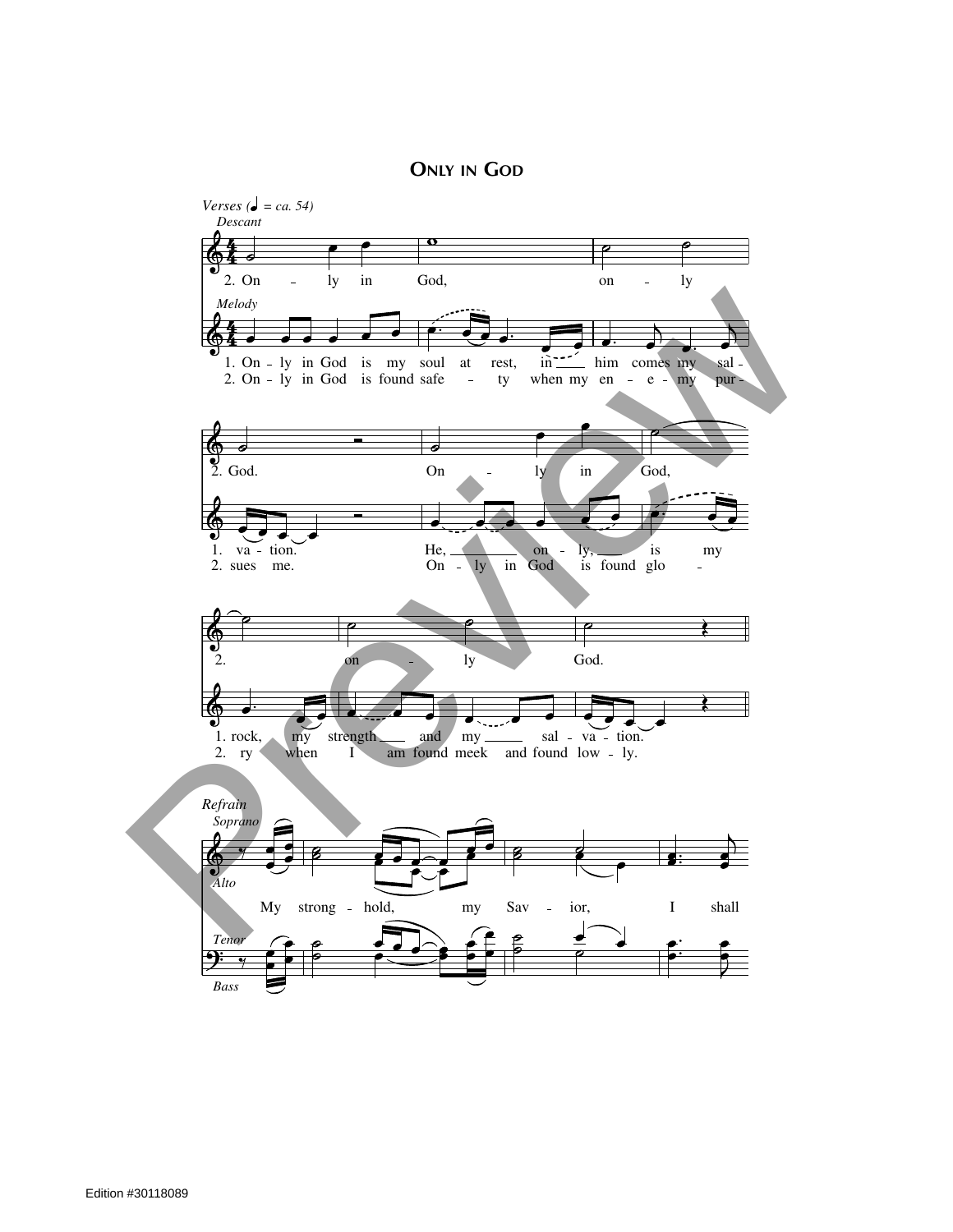**ONLY IN GOD**